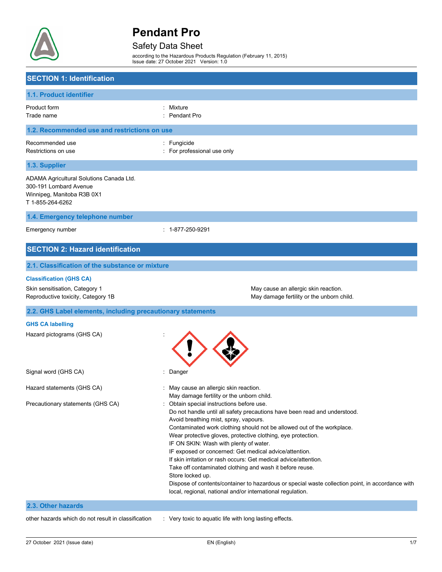

# Safety Data Sheet

according to the Hazardous Products Regulation (February 11, 2015) Issue date: 27 October 2021 Version: 1.0

| <b>SECTION 1: Identification</b>                                                                                     |                                                                                                                                                                                                                                                                                                                                                                                                                                                                                                                                                                                                                                                                                                                                                                                  |
|----------------------------------------------------------------------------------------------------------------------|----------------------------------------------------------------------------------------------------------------------------------------------------------------------------------------------------------------------------------------------------------------------------------------------------------------------------------------------------------------------------------------------------------------------------------------------------------------------------------------------------------------------------------------------------------------------------------------------------------------------------------------------------------------------------------------------------------------------------------------------------------------------------------|
| 1.1. Product identifier                                                                                              |                                                                                                                                                                                                                                                                                                                                                                                                                                                                                                                                                                                                                                                                                                                                                                                  |
| Product form<br>Trade name                                                                                           | Mixture<br><b>Pendant Pro</b>                                                                                                                                                                                                                                                                                                                                                                                                                                                                                                                                                                                                                                                                                                                                                    |
| 1.2. Recommended use and restrictions on use                                                                         |                                                                                                                                                                                                                                                                                                                                                                                                                                                                                                                                                                                                                                                                                                                                                                                  |
| Recommended use<br>Restrictions on use                                                                               | : Fungicide<br>For professional use only                                                                                                                                                                                                                                                                                                                                                                                                                                                                                                                                                                                                                                                                                                                                         |
| 1.3. Supplier                                                                                                        |                                                                                                                                                                                                                                                                                                                                                                                                                                                                                                                                                                                                                                                                                                                                                                                  |
| ADAMA Agricultural Solutions Canada Ltd.<br>300-191 Lombard Avenue<br>Winnipeg, Manitoba R3B 0X1<br>T 1-855-264-6262 |                                                                                                                                                                                                                                                                                                                                                                                                                                                                                                                                                                                                                                                                                                                                                                                  |
| 1.4. Emergency telephone number                                                                                      |                                                                                                                                                                                                                                                                                                                                                                                                                                                                                                                                                                                                                                                                                                                                                                                  |
| Emergency number                                                                                                     | : 1-877-250-9291                                                                                                                                                                                                                                                                                                                                                                                                                                                                                                                                                                                                                                                                                                                                                                 |
| <b>SECTION 2: Hazard identification</b>                                                                              |                                                                                                                                                                                                                                                                                                                                                                                                                                                                                                                                                                                                                                                                                                                                                                                  |
| 2.1. Classification of the substance or mixture                                                                      |                                                                                                                                                                                                                                                                                                                                                                                                                                                                                                                                                                                                                                                                                                                                                                                  |
| <b>Classification (GHS CA)</b>                                                                                       |                                                                                                                                                                                                                                                                                                                                                                                                                                                                                                                                                                                                                                                                                                                                                                                  |
| Skin sensitisation, Category 1<br>Reproductive toxicity, Category 1B                                                 | May cause an allergic skin reaction.<br>May damage fertility or the unborn child.                                                                                                                                                                                                                                                                                                                                                                                                                                                                                                                                                                                                                                                                                                |
| 2.2. GHS Label elements, including precautionary statements                                                          |                                                                                                                                                                                                                                                                                                                                                                                                                                                                                                                                                                                                                                                                                                                                                                                  |
| <b>GHS CA labelling</b><br>Hazard pictograms (GHS CA)                                                                |                                                                                                                                                                                                                                                                                                                                                                                                                                                                                                                                                                                                                                                                                                                                                                                  |
| Signal word (GHS CA)                                                                                                 | Danger                                                                                                                                                                                                                                                                                                                                                                                                                                                                                                                                                                                                                                                                                                                                                                           |
| Hazard statements (GHS CA)                                                                                           | : May cause an allergic skin reaction.                                                                                                                                                                                                                                                                                                                                                                                                                                                                                                                                                                                                                                                                                                                                           |
| Precautionary statements (GHS CA)                                                                                    | May damage fertility or the unborn child.<br>: Obtain special instructions before use.<br>Do not handle until all safety precautions have been read and understood.<br>Avoid breathing mist, spray, vapours.<br>Contaminated work clothing should not be allowed out of the workplace.<br>Wear protective gloves, protective clothing, eye protection.<br>IF ON SKIN: Wash with plenty of water.<br>IF exposed or concerned: Get medical advice/attention.<br>If skin irritation or rash occurs: Get medical advice/attention.<br>Take off contaminated clothing and wash it before reuse.<br>Store locked up.<br>Dispose of contents/container to hazardous or special waste collection point, in accordance with<br>local, regional, national and/or international regulation. |
| 2.3. Other hazards                                                                                                   |                                                                                                                                                                                                                                                                                                                                                                                                                                                                                                                                                                                                                                                                                                                                                                                  |
| other hazards which do not result in classification                                                                  | : Very toxic to aquatic life with long lasting effects.                                                                                                                                                                                                                                                                                                                                                                                                                                                                                                                                                                                                                                                                                                                          |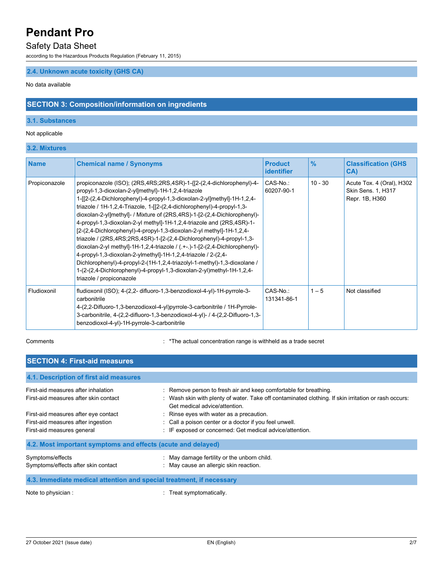### Safety Data Sheet

according to the Hazardous Products Regulation (February 11, 2015)

### **2.4. Unknown acute toxicity (GHS CA)**

No data available

# **SECTION 3: Composition/information on ingredients**

#### **3.1. Substances**

#### Not applicable

## **3.2. Mixtures**

| <b>Name</b>   | <b>Chemical name / Synonyms</b>                                                                                                                                                                                                                                                                                                                                                                                                                                                                                                                                                                                                                                                                                                                                                                                                                                                                                                             | <b>Product</b><br><b>identifier</b> | $\frac{9}{6}$ | <b>Classification (GHS)</b><br>CA)                                       |
|---------------|---------------------------------------------------------------------------------------------------------------------------------------------------------------------------------------------------------------------------------------------------------------------------------------------------------------------------------------------------------------------------------------------------------------------------------------------------------------------------------------------------------------------------------------------------------------------------------------------------------------------------------------------------------------------------------------------------------------------------------------------------------------------------------------------------------------------------------------------------------------------------------------------------------------------------------------------|-------------------------------------|---------------|--------------------------------------------------------------------------|
| Propiconazole | propiconazole (ISO); (2RS, 4RS; 2RS, 4SR)-1-{[2-(2, 4-dichlorophenyl)-4-<br>propyl-1,3-dioxolan-2-yl]methyl}-1H-1,2,4-triazole<br>1-[[2-(2,4-Dichlorophenyl)-4-propyl-1,3-dioxolan-2-yl]methyl]-1H-1,2,4-<br>triazole / 1H-1,2,4-Triazole, 1-[[2-(2,4-dichlorophenyl)-4-propyl-1,3-<br>dioxolan-2-yl]methyl]- / Mixture of (2RS,4RS)-1-[2-(2,4-Dichlorophenyl)-<br>4-propyl-1,3-dioxolan-2-yl methyl]-1H-1,2,4-triazole and (2RS,4SR)-1-<br>[2-(2,4-Dichlorophenyl)-4-propyl-1,3-dioxolan-2-yl methyl]-1H-1,2,4-<br>triazole / (2RS, 4RS; 2RS, 4SR)-1-[2-(2, 4-Dichlorophenyl)-4-propyl-1, 3-<br>dioxolan-2-yl methyl]-1H-1,2,4-triazole / $($ +- $)$ -1-[2- $(2,4$ -Dichlorophenyl $)$ -<br>4-propyl-1,3-dioxolan-2-ylmethyl]-1H-1,2,4-triazole / 2-(2,4-<br>Dichlorophenyl)-4-propyl-2-(1H-1,2,4-triazolyl-1-methyl)-1,3-dioxolane /<br>1-(2-(2,4-Dichlorophenyl)-4-propyl-1,3-dioxolan-2-yl)methyl-1H-1,2,4-<br>triazole / propiconazole | CAS-No.:<br>60207-90-1              | $10 - 30$     | Acute Tox. 4 (Oral), H302<br><b>Skin Sens. 1, H317</b><br>Repr. 1B, H360 |
| Fludioxonil   | fludioxonil (ISO); 4-(2,2- difluoro-1,3-benzodioxol-4-yl)-1H-pyrrole-3-<br>carbonitrile<br>4-(2,2-Difluoro-1,3-benzodioxol-4-yl)pyrrole-3-carbonitrile / 1H-Pyrrole-<br>3-carbonitrile, 4-(2,2-difluoro-1,3-benzodioxol-4-yl)- / 4-(2,2-Difluoro-1,3-<br>benzodioxol-4-yl)-1H-pyrrole-3-carbonitrile                                                                                                                                                                                                                                                                                                                                                                                                                                                                                                                                                                                                                                        | CAS-No.:<br>131341-86-1             | $1 - 5$       | Not classified                                                           |

Comments **Comments** : \*The actual concentration range is withheld as a trade secret

| <b>SECTION 4: First-aid measures</b>                                                                     |                                                                                                                                                                                                           |  |  |
|----------------------------------------------------------------------------------------------------------|-----------------------------------------------------------------------------------------------------------------------------------------------------------------------------------------------------------|--|--|
| 4.1. Description of first aid measures                                                                   |                                                                                                                                                                                                           |  |  |
| First-aid measures after inhalation<br>First-aid measures after skin contact                             | : Remove person to fresh air and keep comfortable for breathing.<br>: Wash skin with plenty of water. Take off contaminated clothing. If skin irritation or rash occurs:<br>Get medical advice/attention. |  |  |
| First-aid measures after eye contact<br>First-aid measures after ingestion<br>First-aid measures general | : Rinse eyes with water as a precaution.<br>: Call a poison center or a doctor if you feel unwell.<br>: IF exposed or concerned: Get medical advice/attention.                                            |  |  |
| 4.2. Most important symptoms and effects (acute and delayed)                                             |                                                                                                                                                                                                           |  |  |
| Symptoms/effects<br>Symptoms/effects after skin contact                                                  | : May damage fertility or the unborn child.<br>: May cause an allergic skin reaction.                                                                                                                     |  |  |
| 4.3. Immediate medical attention and special treatment, if necessary                                     |                                                                                                                                                                                                           |  |  |
| Note to physician :                                                                                      | Treat symptomatically.                                                                                                                                                                                    |  |  |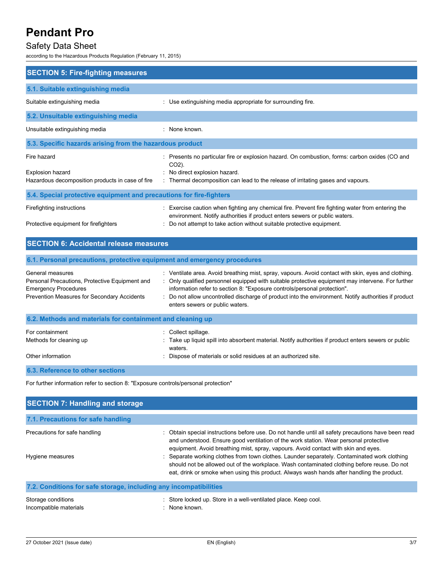# Safety Data Sheet

according to the Hazardous Products Regulation (February 11, 2015)

| <b>SECTION 5: Fire-fighting measures</b>                             |                                                                                                                                                                               |  |  |
|----------------------------------------------------------------------|-------------------------------------------------------------------------------------------------------------------------------------------------------------------------------|--|--|
| 5.1. Suitable extinguishing media                                    |                                                                                                                                                                               |  |  |
| Suitable extinguishing media                                         | : Use extinguishing media appropriate for surrounding fire.                                                                                                                   |  |  |
| 5.2. Unsuitable extinguishing media                                  |                                                                                                                                                                               |  |  |
| Unsuitable extinguishing media                                       | · None known                                                                                                                                                                  |  |  |
| 5.3. Specific hazards arising from the hazardous product             |                                                                                                                                                                               |  |  |
| Fire hazard                                                          | Presents no particular fire or explosion hazard. On combustion, forms: carbon oxides (CO and<br>$CO2$ ).                                                                      |  |  |
| Explosion hazard<br>Hazardous decomposition products in case of fire | : No direct explosion hazard.<br>: Thermal decomposition can lead to the release of irritating gases and vapours.                                                             |  |  |
| 5.4. Special protective equipment and precautions for fire-fighters  |                                                                                                                                                                               |  |  |
| Firefighting instructions                                            | Exercise caution when fighting any chemical fire. Prevent fire fighting water from entering the<br>environment. Notify authorities if product enters sewers or public waters. |  |  |
| Protective equipment for firefighters                                | Do not attempt to take action without suitable protective equipment.                                                                                                          |  |  |
| <b>SECTION 6: Accidental release measures</b>                        |                                                                                                                                                                               |  |  |

| 6.1. Personal precautions, protective equipment and emergency procedures                                                                         |                                                                                                                                                                                                                                                                                                                                                                                                                                 |
|--------------------------------------------------------------------------------------------------------------------------------------------------|---------------------------------------------------------------------------------------------------------------------------------------------------------------------------------------------------------------------------------------------------------------------------------------------------------------------------------------------------------------------------------------------------------------------------------|
| General measures<br>Personal Precautions, Protective Equipment and<br><b>Emergency Procedures</b><br>Prevention Measures for Secondary Accidents | : Ventilate area. Avoid breathing mist, spray, vapours. Avoid contact with skin, eyes and clothing.<br>: Only qualified personnel equipped with suitable protective equipment may intervene. For further<br>information refer to section 8: "Exposure controls/personal protection".<br>: Do not allow uncontrolled discharge of product into the environment. Notify authorities if product<br>enters sewers or public waters. |
| 6.2. Methods and materials for containment and cleaning up                                                                                       |                                                                                                                                                                                                                                                                                                                                                                                                                                 |
| For containment<br>Methods for cleaning up<br>Other information                                                                                  | : Collect spillage.<br>Take up liquid spill into absorbent material. Notify authorities if product enters sewers or public<br>waters.<br>Dispose of materials or solid residues at an authorized site.                                                                                                                                                                                                                          |
|                                                                                                                                                  |                                                                                                                                                                                                                                                                                                                                                                                                                                 |

#### **6.3. Reference to other sections**

For further information refer to section 8: "Exposure controls/personal protection"

| <b>SECTION 7: Handling and storage</b>                            |                                                                                                                                                                                                                                                                                         |  |  |
|-------------------------------------------------------------------|-----------------------------------------------------------------------------------------------------------------------------------------------------------------------------------------------------------------------------------------------------------------------------------------|--|--|
| 7.1. Precautions for safe handling                                |                                                                                                                                                                                                                                                                                         |  |  |
| Precautions for safe handling                                     | : Obtain special instructions before use. Do not handle until all safety precautions have been read<br>and understood. Ensure good ventilation of the work station. Wear personal protective<br>equipment. Avoid breathing mist, spray, vapours. Avoid contact with skin and eyes.      |  |  |
| Hygiene measures                                                  | Separate working clothes from town clothes. Launder separately. Contaminated work clothing<br>should not be allowed out of the workplace. Wash contaminated clothing before reuse. Do not<br>eat, drink or smoke when using this product. Always wash hands after handling the product. |  |  |
| 7.2. Conditions for safe storage, including any incompatibilities |                                                                                                                                                                                                                                                                                         |  |  |
| Storage conditions<br>Incompatible materials                      | : Store locked up. Store in a well-ventilated place. Keep cool.<br>: None known.                                                                                                                                                                                                        |  |  |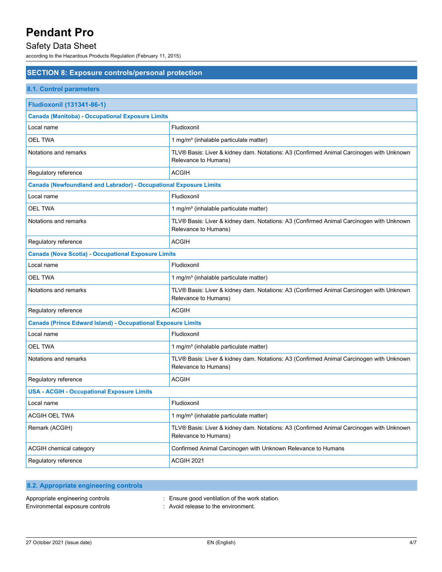# Safety Data Sheet

according to the Hazardous Products Regulation (February 11, 2015)

# **SECTION 8: Exposure controls/personal protection**

# **8.1. Control parameters**

| <b>Fludioxonil (131341-86-1)</b>                                         |                                                                                                                 |  |
|--------------------------------------------------------------------------|-----------------------------------------------------------------------------------------------------------------|--|
| <b>Canada (Manitoba) - Occupational Exposure Limits</b>                  |                                                                                                                 |  |
| Local name                                                               | Fludioxonil                                                                                                     |  |
| <b>OEL TWA</b>                                                           | 1 mg/m <sup>3</sup> (inhalable particulate matter)                                                              |  |
| Notations and remarks                                                    | TLV® Basis: Liver & kidney dam. Notations: A3 (Confirmed Animal Carcinogen with Unknown<br>Relevance to Humans) |  |
| Regulatory reference                                                     | <b>ACGIH</b>                                                                                                    |  |
| <b>Canada (Newfoundland and Labrador) - Occupational Exposure Limits</b> |                                                                                                                 |  |
| Local name                                                               | Fludioxonil                                                                                                     |  |
| <b>OEL TWA</b>                                                           | 1 mg/m <sup>3</sup> (inhalable particulate matter)                                                              |  |
| Notations and remarks                                                    | TLV® Basis: Liver & kidney dam. Notations: A3 (Confirmed Animal Carcinogen with Unknown<br>Relevance to Humans) |  |
| Regulatory reference                                                     | <b>ACGIH</b>                                                                                                    |  |
| <b>Canada (Nova Scotia) - Occupational Exposure Limits</b>               |                                                                                                                 |  |
| Local name                                                               | Fludioxonil                                                                                                     |  |
| <b>OEL TWA</b>                                                           | 1 mg/m <sup>3</sup> (inhalable particulate matter)                                                              |  |
| Notations and remarks                                                    | TLV® Basis: Liver & kidney dam. Notations: A3 (Confirmed Animal Carcinogen with Unknown<br>Relevance to Humans) |  |
| Regulatory reference                                                     | <b>ACGIH</b>                                                                                                    |  |
| <b>Canada (Prince Edward Island) - Occupational Exposure Limits</b>      |                                                                                                                 |  |
| Local name                                                               | Fludioxonil                                                                                                     |  |
| <b>OEL TWA</b>                                                           | 1 mg/m <sup>3</sup> (inhalable particulate matter)                                                              |  |
| Notations and remarks                                                    | TLV® Basis: Liver & kidney dam. Notations: A3 (Confirmed Animal Carcinogen with Unknown<br>Relevance to Humans) |  |
| Regulatory reference                                                     | <b>ACGIH</b>                                                                                                    |  |
| <b>USA - ACGIH - Occupational Exposure Limits</b>                        |                                                                                                                 |  |
| Local name                                                               | Fludioxonil                                                                                                     |  |
| <b>ACGIH OEL TWA</b>                                                     | 1 mg/m <sup>3</sup> (inhalable particulate matter)                                                              |  |
| Remark (ACGIH)                                                           | TLV® Basis: Liver & kidney dam. Notations: A3 (Confirmed Animal Carcinogen with Unknown<br>Relevance to Humans) |  |
| ACGIH chemical category                                                  | Confirmed Animal Carcinogen with Unknown Relevance to Humans                                                    |  |
| Regulatory reference                                                     | <b>ACGIH 2021</b>                                                                                               |  |

| 8.2. Appropriate engineering controls |                                              |
|---------------------------------------|----------------------------------------------|
| Appropriate engineering controls      | Ensure good ventilation of the work station. |
| Environmental exposure controls       | Avoid release to the environment.            |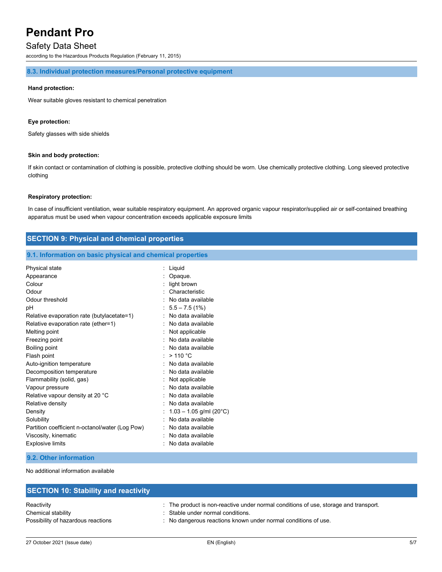### Safety Data Sheet

according to the Hazardous Products Regulation (February 11, 2015)

#### **8.3. Individual protection measures/Personal protective equipment**

#### **Hand protection:**

Wear suitable gloves resistant to chemical penetration

#### **Eye protection:**

Safety glasses with side shields

#### **Skin and body protection:**

If skin contact or contamination of clothing is possible, protective clothing should be worn. Use chemically protective clothing. Long sleeved protective clothing

#### **Respiratory protection:**

In case of insufficient ventilation, wear suitable respiratory equipment. An approved organic vapour respirator/supplied air or self-contained breathing apparatus must be used when vapour concentration exceeds applicable exposure limits

# **SECTION 9: Physical and chemical properties**

### **9.1. Information on basic physical and chemical properties**

| Physical state                                  | Liquid                    |
|-------------------------------------------------|---------------------------|
| Appearance                                      | Opaque.                   |
| Colour                                          | light brown               |
| Odour                                           | Characteristic            |
| Odour threshold                                 | No data available         |
| рH                                              | $: 5.5 - 7.5(1\%)$        |
| Relative evaporation rate (butylacetate=1)      | No data available         |
| Relative evaporation rate (ether=1)             | No data available         |
| Melting point                                   | Not applicable            |
| Freezing point                                  | : No data available       |
| Boiling point                                   | No data available         |
| Flash point                                     | >110 °C                   |
| Auto-ignition temperature                       | No data available         |
| Decomposition temperature                       | No data available         |
| Flammability (solid, gas)                       | : Not applicable          |
| Vapour pressure                                 | No data available         |
| Relative vapour density at 20 °C                | No data available         |
| Relative density                                | No data available         |
| Density                                         | $1.03 - 1.05$ g/ml (20°C) |
| Solubility                                      | No data available         |
| Partition coefficient n-octanol/water (Log Pow) | No data available         |
| Viscosity, kinematic                            | No data available         |
| <b>Explosive limits</b>                         | No data available         |

#### **9.2. Other information**

No additional information available

| <b>SECTION 10: Stability and reactivity</b> |                                                                                      |
|---------------------------------------------|--------------------------------------------------------------------------------------|
| Reactivity                                  | : The product is non-reactive under normal conditions of use, storage and transport. |
| Chemical stability                          | : Stable under normal conditions.                                                    |
| Possibility of hazardous reactions          | : No dangerous reactions known under normal conditions of use.                       |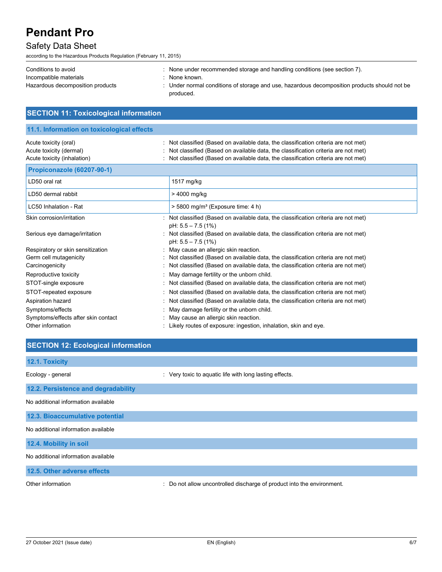# Safety Data Sheet

according to the Hazardous Products Regulation (February 11, 2015)

**SECTION 11: Toxicological information**

| Conditions to avoid              | None under recommended storage and handling conditions (see section 7).                    |
|----------------------------------|--------------------------------------------------------------------------------------------|
| Incompatible materials           | None known.                                                                                |
| Hazardous decomposition products | Under normal conditions of storage and use, hazardous decomposition products should not be |
|                                  | produced.                                                                                  |

| 11.1. Information on toxicological effects                                      |                                                                                                                                                                                                                                                                   |
|---------------------------------------------------------------------------------|-------------------------------------------------------------------------------------------------------------------------------------------------------------------------------------------------------------------------------------------------------------------|
| Acute toxicity (oral)<br>Acute toxicity (dermal)<br>Acute toxicity (inhalation) | : Not classified (Based on available data, the classification criteria are not met)<br>: Not classified (Based on available data, the classification criteria are not met)<br>: Not classified (Based on available data, the classification criteria are not met) |
| Propiconazole (60207-90-1)                                                      |                                                                                                                                                                                                                                                                   |
| LD50 oral rat                                                                   | 1517 mg/kg                                                                                                                                                                                                                                                        |
| LD50 dermal rabbit                                                              | > 4000 mg/kg                                                                                                                                                                                                                                                      |
| LC50 Inhalation - Rat                                                           | $>$ 5800 mg/m <sup>3</sup> (Exposure time: 4 h)                                                                                                                                                                                                                   |
| Skin corrosion/irritation                                                       | : Not classified (Based on available data, the classification criteria are not met)<br>pH: $5.5 - 7.5(1%)$                                                                                                                                                        |
| Serious eye damage/irritation                                                   | : Not classified (Based on available data, the classification criteria are not met)<br>$pH: 5.5 - 7.5(1%)$                                                                                                                                                        |
| Respiratory or skin sensitization                                               | : May cause an allergic skin reaction.                                                                                                                                                                                                                            |
| Germ cell mutagenicity                                                          | : Not classified (Based on available data, the classification criteria are not met)                                                                                                                                                                               |
| Carcinogenicity                                                                 | : Not classified (Based on available data, the classification criteria are not met)                                                                                                                                                                               |
| Reproductive toxicity                                                           | : May damage fertility or the unborn child.                                                                                                                                                                                                                       |
| STOT-single exposure                                                            | : Not classified (Based on available data, the classification criteria are not met)                                                                                                                                                                               |
| STOT-repeated exposure                                                          | : Not classified (Based on available data, the classification criteria are not met)                                                                                                                                                                               |
| Aspiration hazard                                                               | : Not classified (Based on available data, the classification criteria are not met)                                                                                                                                                                               |
| Symptoms/effects                                                                | : May damage fertility or the unborn child.                                                                                                                                                                                                                       |
| Symptoms/effects after skin contact                                             | : May cause an allergic skin reaction.                                                                                                                                                                                                                            |
| Other information                                                               | : Likely routes of exposure: ingestion, inhalation, skin and eye.                                                                                                                                                                                                 |

| <b>SECTION 12: Ecological information</b> |                                                                        |  |  |
|-------------------------------------------|------------------------------------------------------------------------|--|--|
| 12.1. Toxicity                            |                                                                        |  |  |
| Ecology - general                         | : Very toxic to aquatic life with long lasting effects.                |  |  |
| 12.2. Persistence and degradability       |                                                                        |  |  |
| No additional information available       |                                                                        |  |  |
| 12.3. Bioaccumulative potential           |                                                                        |  |  |
| No additional information available       |                                                                        |  |  |
| 12.4. Mobility in soil                    |                                                                        |  |  |
| No additional information available       |                                                                        |  |  |
| 12.5. Other adverse effects               |                                                                        |  |  |
| Other information                         | : Do not allow uncontrolled discharge of product into the environment. |  |  |